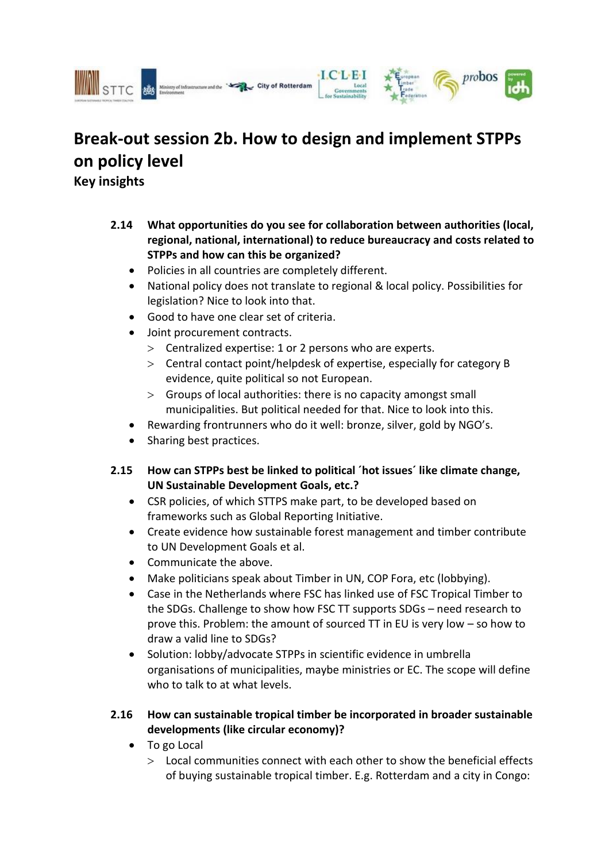



City of Rotterdam

- **2.14 What opportunities do you see for collaboration between authorities (local, regional, national, international) to reduce bureaucracy and costs related to STPPs and how can this be organized?** 
	- Policies in all countries are completely different.
	- National policy does not translate to regional & local policy. Possibilities for legislation? Nice to look into that.
	- Good to have one clear set of criteria.
	- Joint procurement contracts.
		- Centralized expertise: 1 or 2 persons who are experts.
		- Central contact point/helpdesk of expertise, especially for category B evidence, quite political so not European.
		- Groups of local authorities: there is no capacity amongst small municipalities. But political needed for that. Nice to look into this.
	- Rewarding frontrunners who do it well: bronze, silver, gold by NGO's.
	- Sharing best practices.
- **2.15 How can STPPs best be linked to political ´hot issues´ like climate change, UN Sustainable Development Goals, etc.?** 
	- CSR policies, of which STTPS make part, to be developed based on frameworks such as Global Reporting Initiative.
	- Create evidence how sustainable forest management and timber contribute to UN Development Goals et al.
	- Communicate the above.
	- Make politicians speak about Timber in UN, COP Fora, etc (lobbying).
	- Case in the Netherlands where FSC has linked use of FSC Tropical Timber to the SDGs. Challenge to show how FSC TT supports SDGs – need research to prove this. Problem: the amount of sourced TT in EU is very low – so how to draw a valid line to SDGs?
	- Solution: lobby/advocate STPPs in scientific evidence in umbrella organisations of municipalities, maybe ministries or EC. The scope will define who to talk to at what levels.

## **2.16 How can sustainable tropical timber be incorporated in broader sustainable developments (like circular economy)?**

- To go Local
	- Local communities connect with each other to show the beneficial effects of buying sustainable tropical timber. E.g. Rotterdam and a city in Congo: